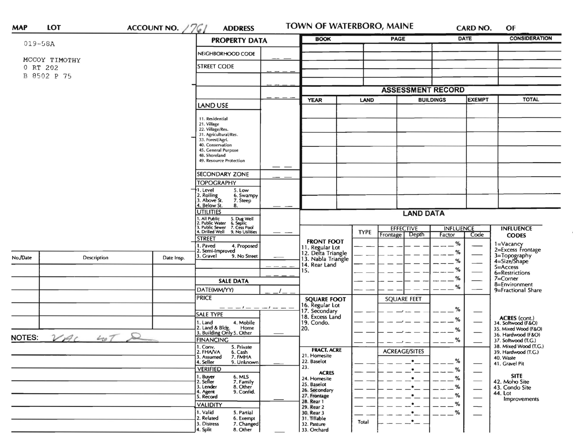| <b>MAP</b>               | <b>LOT</b>                | ACCOUNT NO. $/761$ | <b>ADDRESS</b>                                                                                  | TOWN OF WATERBORO, MAINE                                    |             |                                    |                            | CARD NO.      | OF                                           |
|--------------------------|---------------------------|--------------------|-------------------------------------------------------------------------------------------------|-------------------------------------------------------------|-------------|------------------------------------|----------------------------|---------------|----------------------------------------------|
| $019 - 58A$              |                           |                    | <b>PROPERTY DATA</b>                                                                            | <b>BOOK</b>                                                 | PAGE        |                                    | <b>DATE</b>                |               | <b>CONSIDERATION</b>                         |
|                          |                           |                    | NEIGHBORHOOD CODE                                                                               |                                                             |             |                                    |                            |               |                                              |
|                          | MCCOY TIMOTHY<br>0 RT 202 |                    | <b>STREET CODE</b>                                                                              |                                                             |             |                                    |                            |               |                                              |
|                          | B 8502 P 75               |                    |                                                                                                 |                                                             |             |                                    |                            |               |                                              |
|                          |                           |                    |                                                                                                 |                                                             |             |                                    | <b>ASSESSMENT RECORD</b>   |               |                                              |
|                          |                           |                    |                                                                                                 | <b>YEAR</b>                                                 | LAND        | <b>BUILDINGS</b>                   |                            | <b>EXEMPT</b> | <b>TOTAL</b>                                 |
|                          |                           |                    | <b>LAND USE</b>                                                                                 |                                                             |             |                                    |                            |               |                                              |
|                          |                           |                    | 11. Residential                                                                                 |                                                             |             |                                    |                            |               |                                              |
|                          |                           |                    | 21. Village<br>22. Village/Res.                                                                 |                                                             |             |                                    |                            |               |                                              |
|                          |                           |                    | 31. Agricultural/Res.<br>33. Forest/Agri.                                                       |                                                             |             |                                    |                            |               |                                              |
|                          |                           |                    | 40. Conservation<br>45. General Purpose                                                         |                                                             |             |                                    |                            |               |                                              |
|                          |                           |                    | 48. Shoreland<br>49. Resource Protection                                                        |                                                             |             |                                    |                            |               |                                              |
|                          |                           |                    | <b>SECONDARY ZONE</b>                                                                           |                                                             |             |                                    |                            |               |                                              |
|                          |                           |                    | <b>TOPOGRAPHY</b>                                                                               |                                                             |             |                                    |                            |               |                                              |
|                          |                           |                    | 1. Level<br>5. Low                                                                              |                                                             |             |                                    |                            |               |                                              |
|                          |                           |                    | 2. Rolling<br>3. Above St.<br>6. Swampy<br>7. Steep<br>4. Below St.<br>8.                       |                                                             |             |                                    |                            |               |                                              |
|                          |                           |                    | <b>UTILITIES</b>                                                                                |                                                             |             | <b>LAND DATA</b>                   |                            |               |                                              |
|                          |                           |                    | 1. All Public<br>2. Public Water<br>3. Public Sewer<br>5. Dug Well<br>6. Septic<br>7. Cess Pool |                                                             |             |                                    |                            |               |                                              |
|                          |                           |                    | 4. Drilled Well<br>9. No Utilities                                                              |                                                             | <b>TYPE</b> | <b>EFFECTIVE</b><br>Frontage Depth | <b>INFLUENCE</b><br>Factor | Code          | <b>INFLUENCE</b><br><b>CODES</b>             |
|                          |                           |                    | <b>STREET</b><br>I. Paved<br>4. Proposed                                                        | <b>FRONT FOOT</b>                                           |             |                                    | %                          |               | 1=Vacancy                                    |
| No./Date                 |                           |                    | 2. Semi-Improved                                                                                | 11. Regular Lot<br>12. Delta Triangle<br>13. Nabla Triangle |             |                                    | %                          |               | 2=Excess Frontage                            |
|                          | Description               | Date Insp.         | 3. Gravel<br>9. No Street                                                                       | 14. Rear Land                                               |             |                                    | %                          |               | 3=Topography<br>4=Size/Shape                 |
|                          |                           |                    |                                                                                                 | 15.                                                         |             |                                    | %                          |               | $5 =$ Access<br>6=Restrictions               |
|                          |                           |                    | <b>SALE DATA</b>                                                                                |                                                             |             |                                    | %                          |               | 7=Corner<br>8=Environment                    |
|                          |                           |                    | DATE(MM/YY)                                                                                     |                                                             |             |                                    | $\%$                       |               | 9=Fractional Share                           |
|                          |                           |                    | <b>PRICE</b>                                                                                    | <b>SQUARE FOOT</b>                                          |             | <b>SQUARE FEET</b>                 |                            |               |                                              |
|                          |                           |                    | $-1$ $-$<br>$-1 - -$<br><b>SALE TYPE</b>                                                        | 16. Regular Lot<br>17. Secondary                            |             |                                    | %                          |               |                                              |
|                          |                           |                    | 1. Land<br>4. Mobile                                                                            | 18. Excess Land<br>19. Condo.                               |             |                                    | %                          |               | ACRES (cont.)<br>34. Softwood (F&O)          |
|                          |                           |                    | 2. Land & Bldg. Home<br>3. Building Only 5. Other<br>Home                                       | 20.                                                         |             |                                    | ℅                          |               | 35. Mixed Wood (F&O)<br>36. Hardwood (F&O)   |
| ଛ<br>NOTES:<br>$VAC$ 407 |                           |                    | <b>FINANCING</b>                                                                                |                                                             |             |                                    | %                          |               | 37. Softwood (T.G.)                          |
|                          |                           |                    | 1. Conv.<br>5. Private<br>2. FHAVA<br>6. Cash                                                   | <b>FRACT. ACRE</b>                                          |             | <b>ACREAGE/SITES</b>               |                            |               | 38. Mixed Wood (T.G.)<br>39. Hardwood (T.G.) |
|                          |                           |                    | 7. FMHA<br>3. Assumed<br>4. Seller<br>9. Unknown                                                | 21. Homesite<br>22. Baselot                                 |             |                                    | %                          |               | 40. Waste<br>41. Gravel Pit                  |
|                          |                           |                    | <b>VERIFIED</b>                                                                                 | 23.<br><b>ACRES</b>                                         |             | $\bullet$                          | %                          |               |                                              |
|                          |                           |                    | 6. MLS<br>1. Buyer<br>2. Seller<br>7. Family                                                    | 24. Homesite                                                |             | $\bullet$                          | %                          |               | <b>SITE</b><br>42. Moho Site                 |
|                          |                           |                    | 3. Lender<br>8. Other<br>4. Agent<br>9. Confid.                                                 | 25. Baselot<br>26. Secondary                                |             | $\bullet$                          | %                          |               | 43. Condo Site                               |
|                          |                           |                    | 5. Record                                                                                       | 27. Frontage<br>28. Rear 1                                  |             | $\bullet$                          | %                          |               | 44. Lot<br>Improvements                      |
|                          |                           |                    | <b>VALIDITY</b>                                                                                 | 29. Rear 2                                                  |             | $\bullet$                          | %                          |               |                                              |
|                          |                           |                    | 1. Valid<br>5. Partial<br>2. Related<br>6. Exempt                                               | 30. Rear 3<br>31. Tillable                                  |             | $\cdot$ $\cdot$<br>$-$             | $- -$ %                    |               |                                              |
|                          |                           |                    | 7. Changed<br>3. Distress<br>4. Split<br>8. Other                                               | 32. Pasture<br>33. Orchard                                  | Total       |                                    |                            |               |                                              |